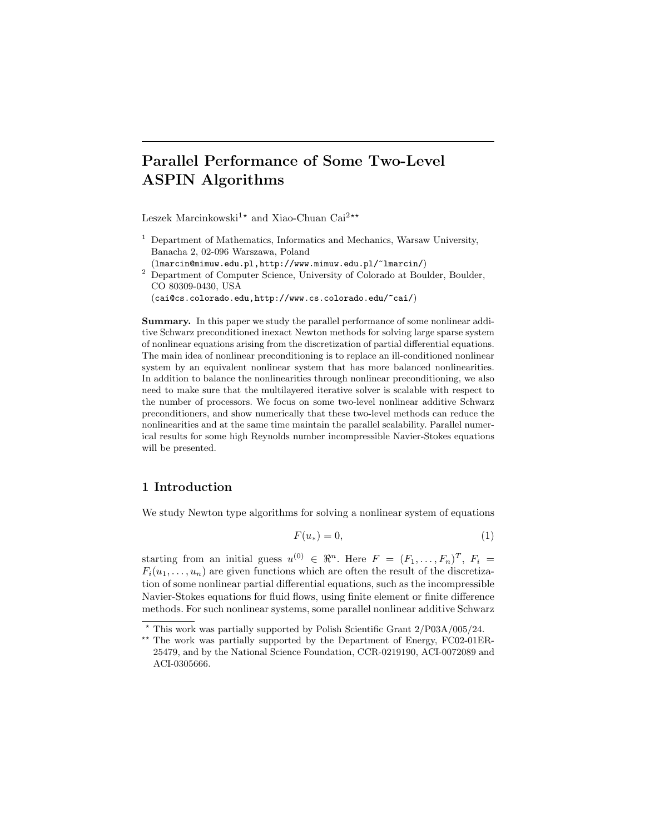# Parallel Performance of Some Two-Level ASPIN Algorithms

Leszek Marcinkowski<sup>1\*</sup> and Xiao-Chuan Cai<sup>2\*\*</sup>

 $<sup>1</sup>$  Department of Mathematics, Informatics and Mechanics, Warsaw University,</sup> Banacha 2, 02-096 Warszawa, Poland

(lmarcin@mimuw.edu.pl,http://www.mimuw.edu.pl/~lmarcin/) <sup>2</sup> Department of Computer Science, University of Colorado at Boulder, Boulder, CO 80309-0430, USA (cai@cs.colorado.edu,http://www.cs.colorado.edu/~cai/)

Summary. In this paper we study the parallel performance of some nonlinear additive Schwarz preconditioned inexact Newton methods for solving large sparse system of nonlinear equations arising from the discretization of partial differential equations. The main idea of nonlinear preconditioning is to replace an ill-conditioned nonlinear system by an equivalent nonlinear system that has more balanced nonlinearities. In addition to balance the nonlinearities through nonlinear preconditioning, we also need to make sure that the multilayered iterative solver is scalable with respect to the number of processors. We focus on some two-level nonlinear additive Schwarz preconditioners, and show numerically that these two-level methods can reduce the nonlinearities and at the same time maintain the parallel scalability. Parallel numerical results for some high Reynolds number incompressible Navier-Stokes equations will be presented.

## 1 Introduction

We study Newton type algorithms for solving a nonlinear system of equations

$$
F(u_*) = 0,\t\t(1)
$$

starting from an initial guess  $u^{(0)} \in \mathbb{R}^n$ . Here  $F = (F_1, \ldots, F_n)^T$ ,  $F_i =$  $F_i(u_1, \ldots, u_n)$  are given functions which are often the result of the discretization of some nonlinear partial differential equations, such as the incompressible Navier-Stokes equations for fluid flows, using finite element or finite difference methods. For such nonlinear systems, some parallel nonlinear additive Schwarz

<sup>?</sup> This work was partially supported by Polish Scientific Grant 2/P03A/005/24.

<sup>\*\*</sup> The work was partially supported by the Department of Energy, FC02-01ER-25479, and by the National Science Foundation, CCR-0219190, ACI-0072089 and ACI-0305666.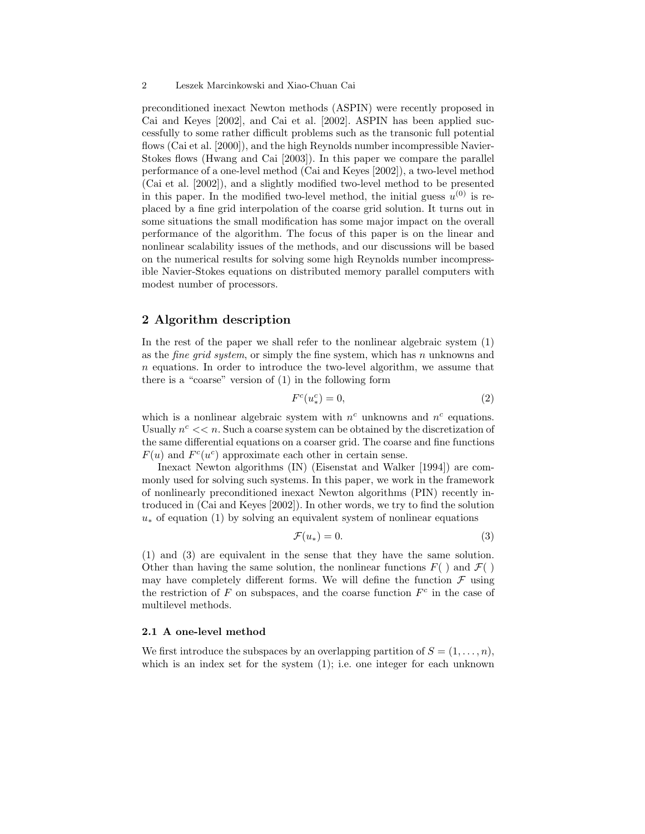preconditioned inexact Newton methods (ASPIN) were recently proposed in Cai and Keyes [2002], and Cai et al. [2002]. ASPIN has been applied successfully to some rather difficult problems such as the transonic full potential flows (Cai et al. [2000]), and the high Reynolds number incompressible Navier-Stokes flows (Hwang and Cai [2003]). In this paper we compare the parallel performance of a one-level method (Cai and Keyes [2002]), a two-level method (Cai et al. [2002]), and a slightly modified two-level method to be presented in this paper. In the modified two-level method, the initial guess  $u^{(0)}$  is replaced by a fine grid interpolation of the coarse grid solution. It turns out in some situations the small modification has some major impact on the overall performance of the algorithm. The focus of this paper is on the linear and nonlinear scalability issues of the methods, and our discussions will be based on the numerical results for solving some high Reynolds number incompressible Navier-Stokes equations on distributed memory parallel computers with modest number of processors.

## 2 Algorithm description

In the rest of the paper we shall refer to the nonlinear algebraic system (1) as the *fine grid system*, or simply the fine system, which has n unknowns and  $n$  equations. In order to introduce the two-level algorithm, we assume that there is a "coarse" version of (1) in the following form

$$
F^c(u_*^c) = 0,\t\t(2)
$$

which is a nonlinear algebraic system with  $n^c$  unknowns and  $n^c$  equations. Usually  $n^c \ll n$ . Such a coarse system can be obtained by the discretization of the same differential equations on a coarser grid. The coarse and fine functions  $F(u)$  and  $F<sup>c</sup>(u<sup>c</sup>)$  approximate each other in certain sense.

Inexact Newton algorithms (IN) (Eisenstat and Walker [1994]) are commonly used for solving such systems. In this paper, we work in the framework of nonlinearly preconditioned inexact Newton algorithms (PIN) recently introduced in (Cai and Keyes [2002]). In other words, we try to find the solution  $u_*$  of equation (1) by solving an equivalent system of nonlinear equations

$$
\mathcal{F}(u_*) = 0.\t\t(3)
$$

(1) and (3) are equivalent in the sense that they have the same solution. Other than having the same solution, the nonlinear functions  $F( )$  and  $\mathcal{F}( )$ may have completely different forms. We will define the function  $\mathcal F$  using the restriction of  $F$  on subspaces, and the coarse function  $F<sup>c</sup>$  in the case of multilevel methods.

#### 2.1 A one-level method

We first introduce the subspaces by an overlapping partition of  $S = (1, \ldots, n)$ , which is an index set for the system  $(1)$ ; i.e. one integer for each unknown

<sup>2</sup> Leszek Marcinkowski and Xiao-Chuan Cai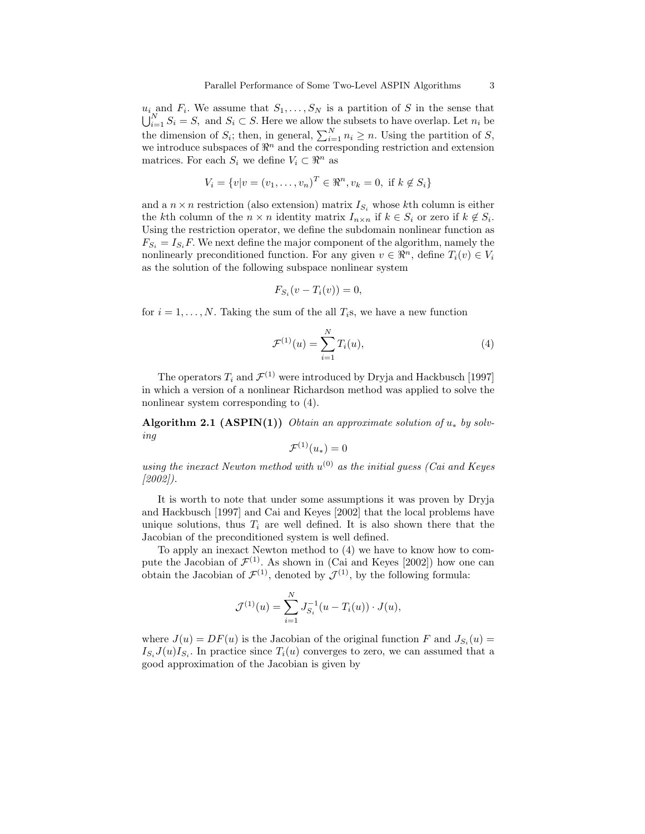$u_i$  and  $F_i$ . We assume that  $S_1, \ldots, S_N$  is a partition of S in the sense that  $\bigcup_{i=1}^{N} S_i = S$ , and  $S_i \subset S$ . Here we allow the subsets to have overlap. Let  $n_i$  be the dimension of  $S_i$ ; then, in general,  $\sum_{i=1}^{N} n_i \geq n$ . Using the partition of S, we introduce subspaces of  $\mathbb{R}^n$  and the corresponding restriction and extension matrices. For each  $S_i$  we define  $V_i \subset \mathbb{R}^n$  as

$$
V_i = \{v | v = (v_1, \dots, v_n)^T \in \Re^n, v_k = 0, \text{ if } k \notin S_i\}
$$

and a  $n \times n$  restriction (also extension) matrix  $I_{S_i}$  whose kth column is either the kth column of the  $n \times n$  identity matrix  $I_{n \times n}$  if  $k \in S_i$  or zero if  $k \notin S_i$ . Using the restriction operator, we define the subdomain nonlinear function as  $F_{S_i} = I_{S_i}F$ . We next define the major component of the algorithm, namely the nonlinearly preconditioned function. For any given  $v \in \mathbb{R}^n$ , define  $T_i(v) \in V_i$ as the solution of the following subspace nonlinear system

$$
F_{S_i}(v - T_i(v)) = 0,
$$

for  $i = 1, \ldots, N$ . Taking the sum of the all  $T_i$ s, we have a new function

$$
\mathcal{F}^{(1)}(u) = \sum_{i=1}^{N} T_i(u),\tag{4}
$$

The operators  $T_i$  and  $\mathcal{F}^{(1)}$  were introduced by Dryja and Hackbusch [1997] in which a version of a nonlinear Richardson method was applied to solve the nonlinear system corresponding to (4).

Algorithm 2.1 (ASPIN(1)) Obtain an approximate solution of  $u_*$  by solving

$$
\mathcal{F}^{(1)}(u_*)=0
$$

using the inexact Newton method with  $u^{(0)}$  as the initial guess (Cai and Keyes [2002]).

It is worth to note that under some assumptions it was proven by Dryja and Hackbusch [1997] and Cai and Keyes [2002] that the local problems have unique solutions, thus  $T_i$  are well defined. It is also shown there that the Jacobian of the preconditioned system is well defined.

To apply an inexact Newton method to (4) we have to know how to compute the Jacobian of  $\mathcal{F}^{(1)}$ . As shown in (Cai and Keyes [2002]) how one can obtain the Jacobian of  $\mathcal{F}^{(1)}$ , denoted by  $\mathcal{J}^{(1)}$ , by the following formula:

$$
\mathcal{J}^{(1)}(u) = \sum_{i=1}^{N} J_{S_i}^{-1}(u - T_i(u)) \cdot J(u),
$$

where  $J(u) = DF(u)$  is the Jacobian of the original function F and  $J_{S_i}(u) =$  $I_{S_i}J(u)I_{S_i}$ . In practice since  $T_i(u)$  converges to zero, we can assumed that a good approximation of the Jacobian is given by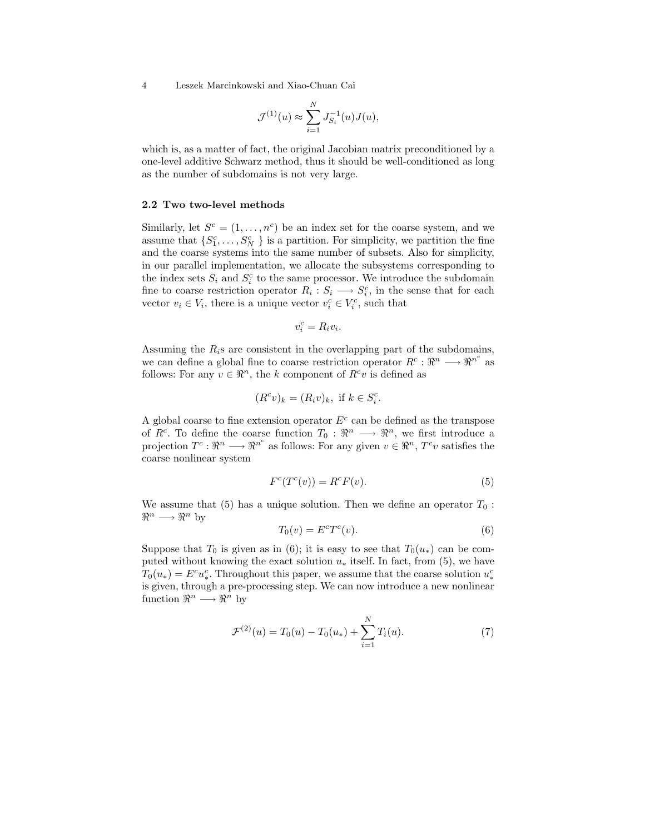4 Leszek Marcinkowski and Xiao-Chuan Cai

$$
\mathcal{J}^{(1)}(u) \approx \sum_{i=1}^N J_{S_i}^{-1}(u) J(u),
$$

which is, as a matter of fact, the original Jacobian matrix preconditioned by a one-level additive Schwarz method, thus it should be well-conditioned as long as the number of subdomains is not very large.

#### 2.2 Two two-level methods

Similarly, let  $S^c = (1, \ldots, n^c)$  be an index set for the coarse system, and we assume that  $\{S_1^c, \ldots, S_N^c\}$  is a partition. For simplicity, we partition the fine and the coarse systems into the same number of subsets. Also for simplicity, in our parallel implementation, we allocate the subsystems corresponding to the index sets  $S_i$  and  $S_i^c$  to the same processor. We introduce the subdomain fine to coarse restriction operator  $R_i: S_i \longrightarrow S_i^c$ , in the sense that for each vector  $v_i \in V_i$ , there is a unique vector  $v_i^c \in V_i^c$ , such that

$$
v_i^c = R_i v_i.
$$

Assuming the  $R_i$ s are consistent in the overlapping part of the subdomains, we can define a global fine to coarse restriction operator  $R^c: \mathbb{R}^n \longrightarrow \mathbb{R}^{n^c}$  as follows: For any  $v \in \mathbb{R}^n$ , the k component of  $R^c v$  is defined as

$$
(R^c v)_k = (R_i v)_k, \text{ if } k \in S_i^c.
$$

A global coarse to fine extension operator  $E<sup>c</sup>$  can be defined as the transpose of  $R^c$ . To define the coarse function  $T_0: \mathbb{R}^n \longrightarrow \mathbb{R}^n$ , we first introduce a projection  $T^c: \mathbb{R}^n \longrightarrow \mathbb{R}^{n^c}$  as follows: For any given  $v \in \mathbb{R}^n$ ,  $T^c v$  satisfies the coarse nonlinear system

$$
F^{c}(T^{c}(v)) = R^{c}F(v).
$$
\n<sup>(5)</sup>

We assume that (5) has a unique solution. Then we define an operator  $T_0$ :  $\mathbb{R}^n \longrightarrow \mathbb{R}^n$  by

$$
T_0(v) = E^c T^c(v). \tag{6}
$$

Suppose that  $T_0$  is given as in (6); it is easy to see that  $T_0(u_*)$  can be computed without knowing the exact solution  $u_*$  itself. In fact, from (5), we have  $T_0(u_*) = E^c u_*^c$ . Throughout this paper, we assume that the coarse solution  $u_*^c$ is given, through a pre-processing step. We can now introduce a new nonlinear function  $\mathbb{R}^n \longrightarrow \mathbb{R}^n$  by

$$
\mathcal{F}^{(2)}(u) = T_0(u) - T_0(u_*) + \sum_{i=1}^N T_i(u). \tag{7}
$$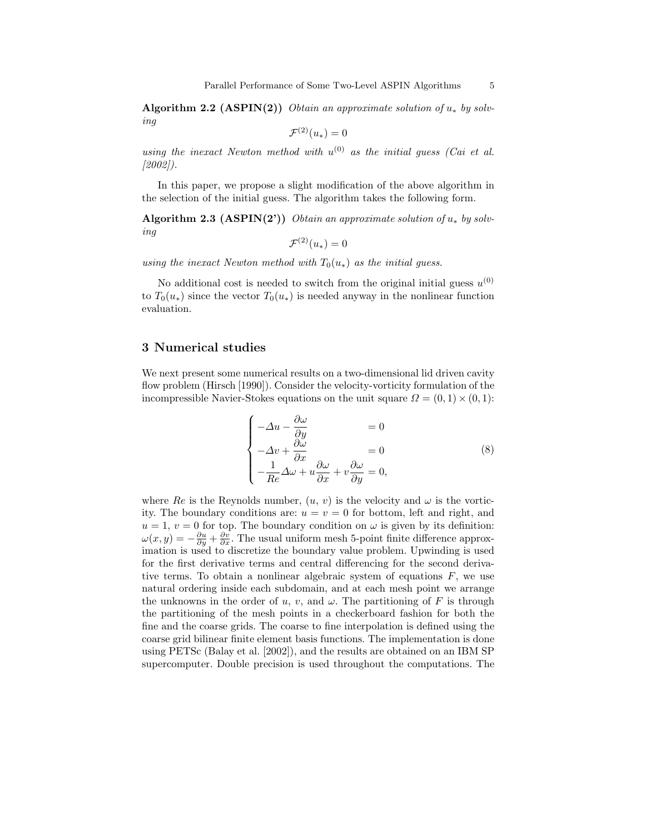Algorithm 2.2 (ASPIN(2)) Obtain an approximate solution of  $u_*$  by solving

$$
\mathcal{F}^{(2)}(u_*)=0
$$

using the inexact Newton method with  $u^{(0)}$  as the initial guess (Cai et al.  $(2002)$ .

In this paper, we propose a slight modification of the above algorithm in the selection of the initial guess. The algorithm takes the following form.

Algorithm 2.3 (ASPIN(2')) Obtain an approximate solution of  $u_*$  by solving

$$
\mathcal{F}^{(2)}(u_*)=0
$$

using the inexact Newton method with  $T_0(u_*)$  as the initial guess.

No additional cost is needed to switch from the original initial guess  $u^{(0)}$ to  $T_0(u_*)$  since the vector  $T_0(u_*)$  is needed anyway in the nonlinear function evaluation.

## 3 Numerical studies

We next present some numerical results on a two-dimensional lid driven cavity flow problem (Hirsch [1990]). Consider the velocity-vorticity formulation of the incompressible Navier-Stokes equations on the unit square  $\Omega = (0,1) \times (0,1)$ :

$$
\begin{cases}\n-\Delta u - \frac{\partial \omega}{\partial y} &= 0\\
-\Delta v + \frac{\partial \omega}{\partial x} &= 0\\
-\frac{1}{Re}\Delta \omega + u \frac{\partial \omega}{\partial x} + v \frac{\partial \omega}{\partial y} &= 0,\n\end{cases}
$$
\n(8)

where Re is the Reynolds number,  $(u, v)$  is the velocity and  $\omega$  is the vorticity. The boundary conditions are:  $u = v = 0$  for bottom, left and right, and  $u = 1, v = 0$  for top. The boundary condition on  $\omega$  is given by its definition:  $\omega(x,y) = -\frac{\partial u}{\partial y} + \frac{\partial v}{\partial x}$ . The usual uniform mesh 5-point finite difference approximation is used to discretize the boundary value problem. Upwinding is used for the first derivative terms and central differencing for the second derivative terms. To obtain a nonlinear algebraic system of equations  $F$ , we use natural ordering inside each subdomain, and at each mesh point we arrange the unknowns in the order of u, v, and  $\omega$ . The partitioning of F is through the partitioning of the mesh points in a checkerboard fashion for both the fine and the coarse grids. The coarse to fine interpolation is defined using the coarse grid bilinear finite element basis functions. The implementation is done using PETSc (Balay et al. [2002]), and the results are obtained on an IBM SP supercomputer. Double precision is used throughout the computations. The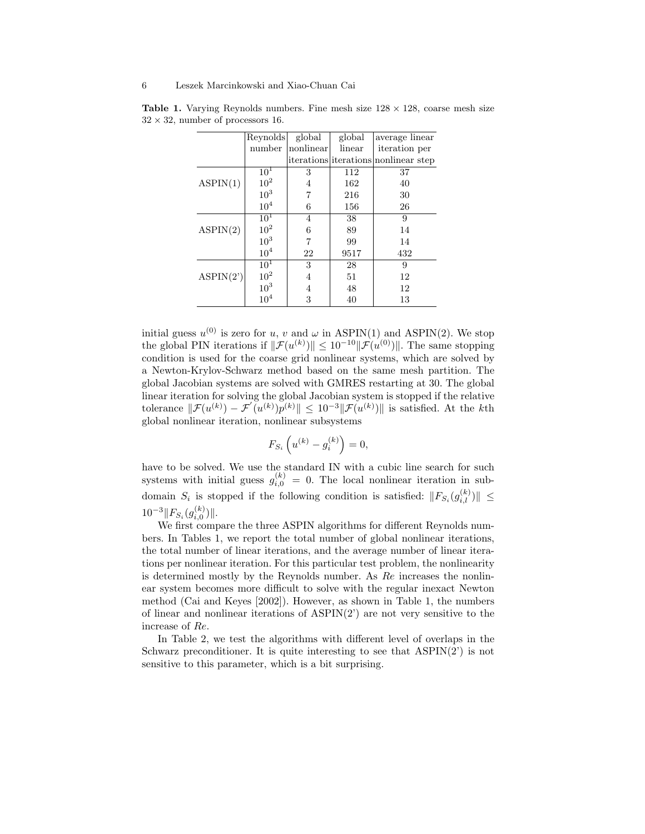|           | Reynolds        | global    | global | average linear                       |
|-----------|-----------------|-----------|--------|--------------------------------------|
|           | number          | nonlinear | linear | iteration per                        |
|           |                 |           |        | iterations iterations nonlinear step |
| ASPIN(1)  | 10 <sup>1</sup> | 3         | 112    | 37                                   |
|           | 10 <sup>2</sup> | 4         | 162    | 40                                   |
|           | 10 <sup>3</sup> | 7         | 216    | 30                                   |
|           | 10 <sup>4</sup> | 6         | 156    | 26                                   |
| ASPIN(2)  | 10 <sup>1</sup> | 4         | 38     | 9                                    |
|           | 10 <sup>2</sup> | 6         | 89     | 14                                   |
|           | 10 <sup>3</sup> | 7         | 99     | 14                                   |
|           | $10^{4}$        | 22        | 9517   | 432                                  |
| ASPIN(2') | 10 <sup>1</sup> | 3         | 28     | 9                                    |
|           | 10 <sup>2</sup> | 4         | 51     | 12                                   |
|           | 10 <sup>3</sup> | 4         | 48     | 12                                   |
|           | $10^{4}$        | 3         | 40     | 13                                   |

**Table 1.** Varying Reynolds numbers. Fine mesh size  $128 \times 128$ , coarse mesh size  $32 \times 32$ , number of processors 16.

initial guess  $u^{(0)}$  is zero for u, v and  $\omega$  in ASPIN(1) and ASPIN(2). We stop the global PIN iterations if  $\|\mathcal{F}(u^{(k)})\| \leq 10^{-10} \|\mathcal{F}(u^{(0)})\|$ . The same stopping condition is used for the coarse grid nonlinear systems, which are solved by a Newton-Krylov-Schwarz method based on the same mesh partition. The global Jacobian systems are solved with GMRES restarting at 30. The global linear iteration for solving the global Jacobian system is stopped if the relative tolerance  $\|\mathcal{F}(u^{(k)}) - \mathcal{F}'(u^{(k)})\| \leq 10^{-3} \|\mathcal{F}(u^{(k)})\|$  is satisfied. At the kth global nonlinear iteration, nonlinear subsystems

$$
F_{S_i}\left(u^{(k)} - g_i^{(k)}\right) = 0,
$$

have to be solved. We use the standard IN with a cubic line search for such systems with initial guess  $g_{i,0}^{(k)} = 0$ . The local nonlinear iteration in subdomain  $S_i$  is stopped if the following condition is satisfied:  $||F_{S_i}(g_{i,l}^{(k)})|| \leq$  $10^{-3}$   $\|F_{S_i}(g_{i,0}^{(k)})\|$ .

We first compare the three ASPIN algorithms for different Reynolds numbers. In Tables 1, we report the total number of global nonlinear iterations, the total number of linear iterations, and the average number of linear iterations per nonlinear iteration. For this particular test problem, the nonlinearity is determined mostly by the Reynolds number. As Re increases the nonlinear system becomes more difficult to solve with the regular inexact Newton method (Cai and Keyes [2002]). However, as shown in Table 1, the numbers of linear and nonlinear iterations of ASPIN(2') are not very sensitive to the increase of Re.

In Table 2, we test the algorithms with different level of overlaps in the Schwarz preconditioner. It is quite interesting to see that  $\text{ASPIN}(2')$  is not sensitive to this parameter, which is a bit surprising.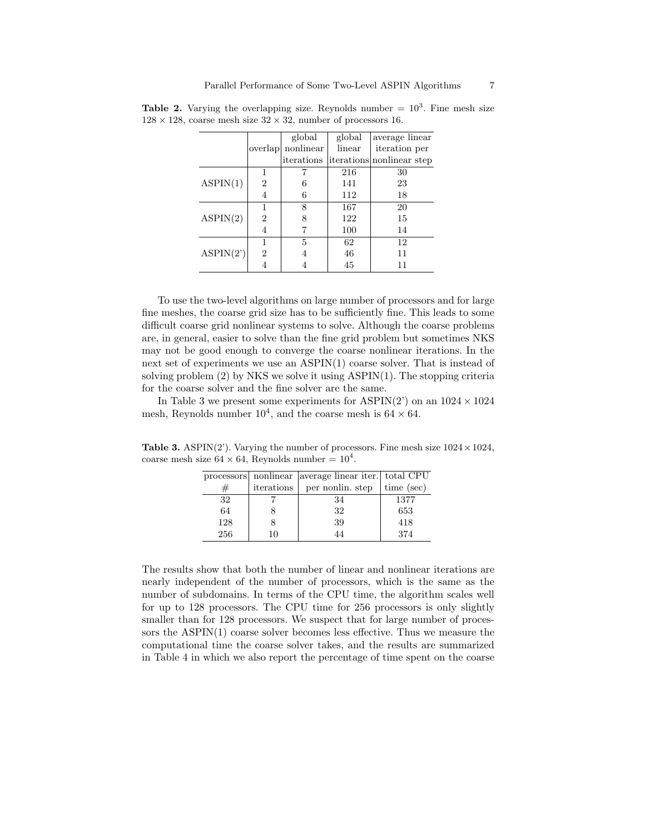|           |                | global    | global | average linear            |
|-----------|----------------|-----------|--------|---------------------------|
|           | overlap        | nonlinear | linear | iteration per             |
|           |                |           |        | iterations nonlinear step |
| ASPIN(1)  | 1              |           | 216    | 30                        |
|           | $\overline{2}$ |           | 141    | 23                        |
|           | 4              | 6         | 112    | 18                        |
| ASPIN(2)  | 1              | 8         | 167    | 20                        |
|           | 2              |           | 122    | 15                        |
|           | 4              |           | 100    | 14                        |
| ASPIN(2') | 1              | 5         | 62     | 12                        |
|           | $\overline{2}$ |           | 46     | 11                        |
|           | 4              |           | 45     | 11                        |

**Table 2.** Varying the overlapping size. Reynolds number  $= 10<sup>3</sup>$ . Fine mesh size  $128 \times 128$ , coarse mesh size  $32 \times 32$ , number of processors 16.

To use the two-level algorithms on large number of processors and for large fine meshes, the coarse grid size has to be sufficiently fine. This leads to some difficult coarse grid nonlinear systems to solve. Although the coarse problems are, in general, easier to solve than the fine grid problem but sometimes NKS may not be good enough to converge the coarse nonlinear iterations. In the next set of experiments we use an ASPIN(1) coarse solver. That is instead of solving problem (2) by NKS we solve it using ASPIN(1). The stopping criteria for the coarse solver and the fine solver are the same.

In Table 3 we present some experiments for ASPIN(2') on an  $1024 \times 1024$ mesh, Reynolds number  $10^4$ , and the coarse mesh is  $64 \times 64$ .

processors nonlinear average linear iter. total CPU  $\#$  iterations per nonlin. step time (sec) 32 7 34 1377 64 | 8 | 32 | 653 128 | 8 | 39 | 418 256 | 10 | 44 | 374

**Table 3.** ASPIN(2'). Varying the number of processors. Fine mesh size  $1024 \times 1024$ , coarse mesh size  $64 \times 64$ , Reynolds number =  $10^4$ .

The results show that both the number of linear and nonlinear iterations are nearly independent of the number of processors, which is the same as the number of subdomains. In terms of the CPU time, the algorithm scales well for up to 128 processors. The CPU time for 256 processors is only slightly smaller than for 128 processors. We suspect that for large number of processors the ASPIN(1) coarse solver becomes less effective. Thus we measure the computational time the coarse solver takes, and the results are summarized in Table 4 in which we also report the percentage of time spent on the coarse